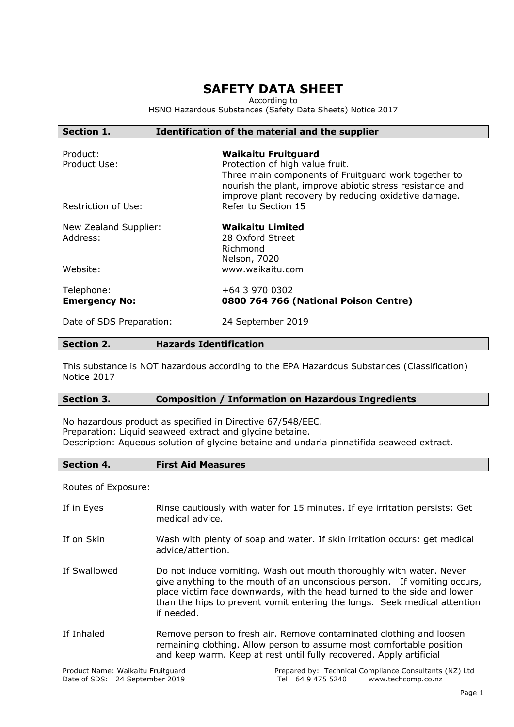# **SAFETY DATA SHEET**

According to

HSNO Hazardous Substances (Safety Data Sheets) Notice 2017

# **Section 1. Identification of the material and the supplier**

| Product:<br>Product Use:           | <b>Waikaitu Fruitguard</b><br>Protection of high value fruit.<br>Three main components of Fruitguard work together to<br>nourish the plant, improve abiotic stress resistance and<br>improve plant recovery by reducing oxidative damage. |
|------------------------------------|-------------------------------------------------------------------------------------------------------------------------------------------------------------------------------------------------------------------------------------------|
| Restriction of Use:                | Refer to Section 15                                                                                                                                                                                                                       |
| New Zealand Supplier:<br>Address:  | <b>Waikaitu Limited</b><br>28 Oxford Street<br>Richmond<br>Nelson, 7020                                                                                                                                                                   |
| Website:                           | www.waikaitu.com                                                                                                                                                                                                                          |
| Telephone:<br><b>Emergency No:</b> | +64 3 970 0302<br>0800 764 766 (National Poison Centre)                                                                                                                                                                                   |
| Date of SDS Preparation:           | 24 September 2019                                                                                                                                                                                                                         |

## **Section 2. Hazards Identification**

This substance is NOT hazardous according to the EPA Hazardous Substances (Classification) Notice 2017

# **Section 3. Composition / Information on Hazardous Ingredients**

No hazardous product as specified in Directive 67/548/EEC. Preparation: Liquid seaweed extract and glycine betaine. Description: Aqueous solution of glycine betaine and undaria pinnatifida seaweed extract.

**Section 4. First Aid Measures**

Routes of Exposure:

| If in Eyes   | Rinse cautiously with water for 15 minutes. If eye irritation persists: Get<br>medical advice.                                                                                                                                                                                                                        |
|--------------|-----------------------------------------------------------------------------------------------------------------------------------------------------------------------------------------------------------------------------------------------------------------------------------------------------------------------|
| If on Skin   | Wash with plenty of soap and water. If skin irritation occurs: get medical<br>advice/attention.                                                                                                                                                                                                                       |
| If Swallowed | Do not induce vomiting. Wash out mouth thoroughly with water. Never<br>give anything to the mouth of an unconscious person. If vomiting occurs,<br>place victim face downwards, with the head turned to the side and lower<br>than the hips to prevent vomit entering the lungs. Seek medical attention<br>if needed. |
| If Inhaled   | Remove person to fresh air. Remove contaminated clothing and loosen<br>remaining clothing. Allow person to assume most comfortable position<br>and keep warm. Keep at rest until fully recovered. Apply artificial                                                                                                    |
|              |                                                                                                                                                                                                                                                                                                                       |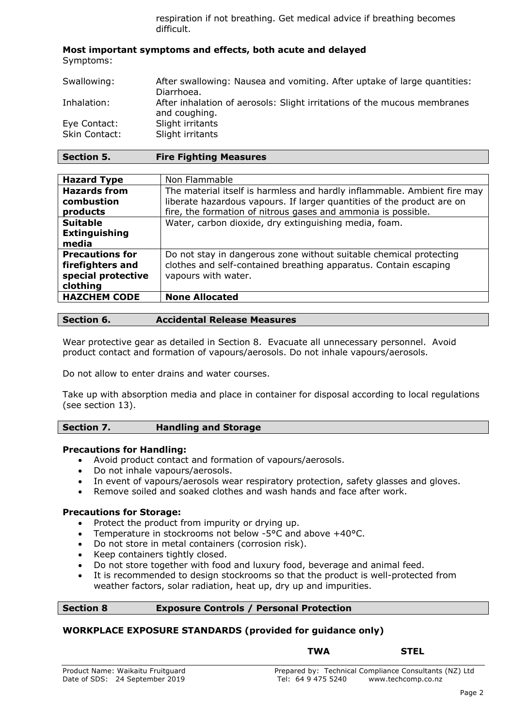respiration if not breathing. Get medical advice if breathing becomes difficult.

## **Most important symptoms and effects, both acute and delayed** Symptoms:

| Swallowing:                          | After swallowing: Nausea and vomiting. After uptake of large quantities:<br>Diarrhoea.    |
|--------------------------------------|-------------------------------------------------------------------------------------------|
| Inhalation:                          | After inhalation of aerosols: Slight irritations of the mucous membranes<br>and coughing. |
| Eye Contact:<br><b>Skin Contact:</b> | Slight irritants<br>Slight irritants                                                      |

| <b>Hazard Type</b>     | Non Flammable                                                            |
|------------------------|--------------------------------------------------------------------------|
| <b>Hazards from</b>    | The material itself is harmless and hardly inflammable. Ambient fire may |
| combustion             | liberate hazardous vapours. If larger quantities of the product are on   |
| products               | fire, the formation of nitrous gases and ammonia is possible.            |
| <b>Suitable</b>        | Water, carbon dioxide, dry extinguishing media, foam.                    |
| <b>Extinguishing</b>   |                                                                          |
| media                  |                                                                          |
| <b>Precautions for</b> | Do not stay in dangerous zone without suitable chemical protecting       |
| firefighters and       | clothes and self-contained breathing apparatus. Contain escaping         |
| special protective     | vapours with water.                                                      |
| clothing               |                                                                          |
| <b>HAZCHEM CODE</b>    | <b>None Allocated</b>                                                    |
|                        |                                                                          |

# **Section 6. Accidental Release Measures**

Wear protective gear as detailed in Section 8. Evacuate all unnecessary personnel. Avoid product contact and formation of vapours/aerosols. Do not inhale vapours/aerosols.

Do not allow to enter drains and water courses.

Take up with absorption media and place in container for disposal according to local regulations (see section 13).

# **Section 7. Handling and Storage**

# **Precautions for Handling:**

- Avoid product contact and formation of vapours/aerosols.
- Do not inhale vapours/aerosols.
- In event of vapours/aerosols wear respiratory protection, safety glasses and gloves.
- Remove soiled and soaked clothes and wash hands and face after work.

# **Precautions for Storage:**

- Protect the product from impurity or drying up.
- Temperature in stockrooms not below -5°C and above +40°C.
- Do not store in metal containers (corrosion risk).
- Keep containers tightly closed.
- Do not store together with food and luxury food, beverage and animal feed.
- It is recommended to design stockrooms so that the product is well-protected from weather factors, solar radiation, heat up, dry up and impurities.

# **Section 8 Exposure Controls / Personal Protection**

# **WORKPLACE EXPOSURE STANDARDS (provided for guidance only)**

# **TWA STEL**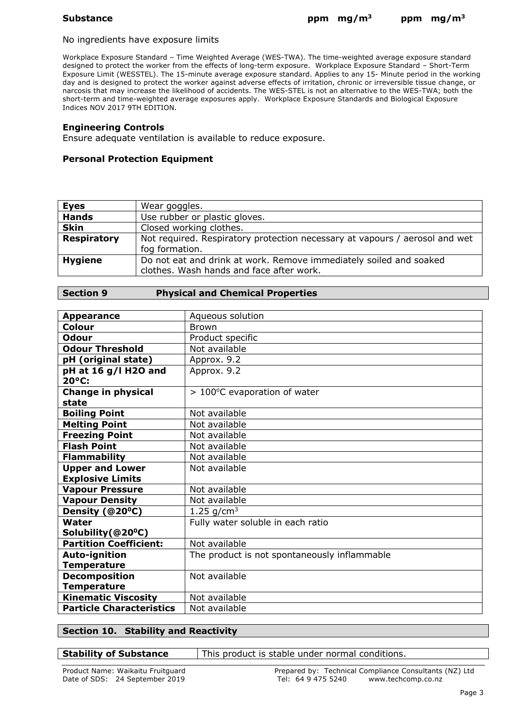#### No ingredients have exposure limits

Workplace Exposure Standard – Time Weighted Average (WES-TWA). The time-weighted average exposure standard designed to protect the worker from the effects of long-term exposure. Workplace Exposure Standard – Short-Term Exposure Limit (WESSTEL). The 15-minute average exposure standard. Applies to any 15- Minute period in the working day and is designed to protect the worker against adverse effects of irritation, chronic or irreversible tissue change, or narcosis that may increase the likelihood of accidents. The WES-STEL is not an alternative to the WES-TWA; both the short-term and time-weighted average exposures apply. Workplace Exposure Standards and Biological Exposure Indices NOV 2017 9TH EDITION.

### **Engineering Controls**

Ensure adequate ventilation is available to reduce exposure.

### **Personal Protection Equipment**

| <b>Eyes</b>        | Wear goggles.                                                               |
|--------------------|-----------------------------------------------------------------------------|
| <b>Hands</b>       | Use rubber or plastic gloves.                                               |
| <b>Skin</b>        | Closed working clothes.                                                     |
| <b>Respiratory</b> | Not required. Respiratory protection necessary at vapours / aerosol and wet |
|                    | fog formation.                                                              |
| <b>Hygiene</b>     | Do not eat and drink at work. Remove immediately soiled and soaked          |
|                    | clothes. Wash hands and face after work.                                    |

#### **Section 9 Physical and Chemical Properties**

| <b>Appearance</b>                  | Aqueous solution                             |
|------------------------------------|----------------------------------------------|
| <b>Colour</b>                      | <b>Brown</b>                                 |
| <b>Odour</b>                       | Product specific                             |
| Odour Threshold                    | Not available                                |
| pH (original state)                | Approx. 9.2                                  |
| pH at 16 g/l H2O and<br>20°C:      | Approx. 9.2                                  |
| <b>Change in physical</b><br>state | $>100^{\circ}$ C evaporation of water        |
| <b>Boiling Point</b>               | Not available                                |
| <b>Melting Point</b>               | Not available                                |
| <b>Freezing Point</b>              | Not available                                |
| <b>Flash Point</b>                 | Not available                                |
| <b>Flammability</b>                | Not available                                |
| <b>Upper and Lower</b>             | Not available                                |
| <b>Explosive Limits</b>            |                                              |
| <b>Vapour Pressure</b>             | Not available                                |
| <b>Vapour Density</b>              | Not available                                |
| Density (@20°C)                    | 1.25 $q/cm^3$                                |
| Water                              | Fully water soluble in each ratio            |
| Solubility (@20°C)                 |                                              |
| <b>Partition Coefficient:</b>      | Not available                                |
| <b>Auto-ignition</b>               | The product is not spontaneously inflammable |
| <b>Temperature</b>                 |                                              |
| <b>Decomposition</b>               | Not available                                |
| <b>Temperature</b>                 |                                              |
| <b>Kinematic Viscosity</b>         | Not available                                |
| <b>Particle Characteristics</b>    | Not available                                |

# **Section 10. Stability and Reactivity**

**Stability of Substance** This product is stable under normal conditions.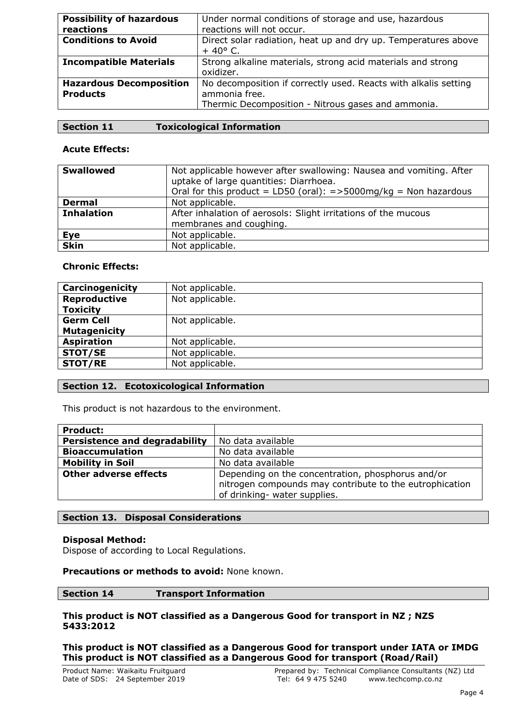| <b>Possibility of hazardous</b><br>reactions      | Under normal conditions of storage and use, hazardous<br>reactions will not occur.                                                     |
|---------------------------------------------------|----------------------------------------------------------------------------------------------------------------------------------------|
| <b>Conditions to Avoid</b>                        | Direct solar radiation, heat up and dry up. Temperatures above<br>$+40^{\circ}$ C.                                                     |
| <b>Incompatible Materials</b>                     | Strong alkaline materials, strong acid materials and strong<br>oxidizer.                                                               |
| <b>Hazardous Decomposition</b><br><b>Products</b> | No decomposition if correctly used. Reacts with alkalis setting<br>ammonia free.<br>Thermic Decomposition - Nitrous gases and ammonia. |

# **Acute Effects:**

| <b>Swallowed</b>  | Not applicable however after swallowing: Nausea and vomiting. After<br>uptake of large quantities: Diarrhoea.<br>Oral for this product = LD50 (oral): = > 5000mg/kg = Non hazardous |
|-------------------|-------------------------------------------------------------------------------------------------------------------------------------------------------------------------------------|
| <b>Dermal</b>     | Not applicable.                                                                                                                                                                     |
| <b>Inhalation</b> | After inhalation of aerosols: Slight irritations of the mucous                                                                                                                      |
|                   | membranes and coughing.                                                                                                                                                             |
| Eye               | Not applicable.                                                                                                                                                                     |
| <b>Skin</b>       | Not applicable.                                                                                                                                                                     |

# **Chronic Effects:**

| Carcinogenicity     | Not applicable. |
|---------------------|-----------------|
| Reproductive        | Not applicable. |
| <b>Toxicity</b>     |                 |
| <b>Germ Cell</b>    | Not applicable. |
| <b>Mutagenicity</b> |                 |
| <b>Aspiration</b>   | Not applicable. |
| <b>STOT/SE</b>      | Not applicable. |
| <b>STOT/RE</b>      | Not applicable. |

# **Section 12. Ecotoxicological Information**

This product is not hazardous to the environment.

| <b>Product:</b>                      |                                                                                                                                              |
|--------------------------------------|----------------------------------------------------------------------------------------------------------------------------------------------|
| <b>Persistence and degradability</b> | No data available                                                                                                                            |
| <b>Bioaccumulation</b>               | No data available                                                                                                                            |
| <b>Mobility in Soil</b>              | No data available                                                                                                                            |
| <b>Other adverse effects</b>         | Depending on the concentration, phosphorus and/or<br>nitrogen compounds may contribute to the eutrophication<br>of drinking- water supplies. |

# **Section 13. Disposal Considerations**

# **Disposal Method:**

Dispose of according to Local Regulations.

# **Precautions or methods to avoid:** None known.

# **Section 14 Transport Information**

# **This product is NOT classified as a Dangerous Good for transport in NZ ; NZS 5433:2012**

**This product is NOT classified as a Dangerous Good for transport under IATA or IMDG This product is NOT classified as a Dangerous Good for transport (Road/Rail)**